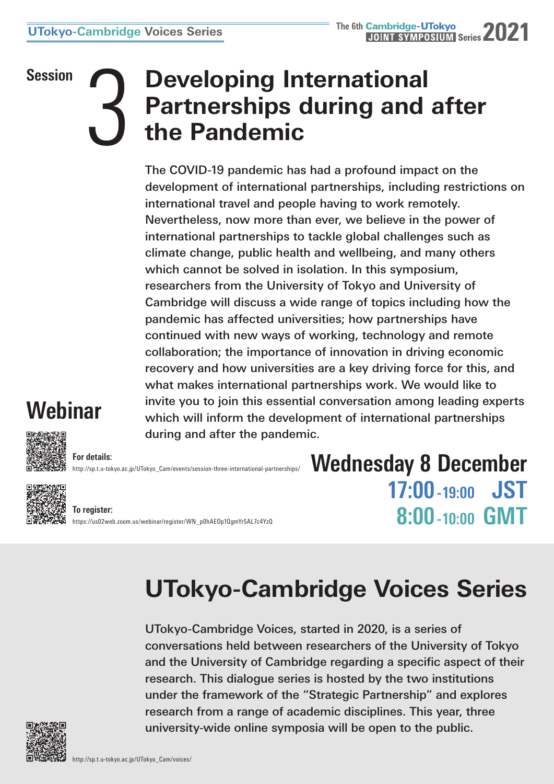## **Session**<br> **3 Developing International Partnerships during and a<br>
the Pandemic Partnerships during and after the Pandemic**

The COVID-19 pandemic has had a profound impact on the development of international partnerships, including restrictions on international travel and people having to work remotely. Nevertheless, now more than ever, we believe in the power of international partnerships to tackle global challenges such as climate change, public health and wellbeing, and many others which cannot be solved in isolation. In this symposium, researchers from the University of Tokyo and University of Cambridge will discuss a wide range of topics including how the pandemic has affected universities; how partnerships have continued with new ways of working, technology and remote collaboration; the importance of innovation in driving economic recovery and how universities are a key driving force for this, and what makes international partnerships work. We would like to invite you to join this essential conversation among leading experts which will inform the development of international partnerships [during and after the pandem](http://sp.t.u-tokyo.ac.jp/UTokyo_Cam/events/session-three-international-partnerships/)ic.

## **Webinar**



**For details:** http://sp.t.u-tokyo.ac.jp/UTokyo\_Cam/events/session-three-international-partnerships/



**To register:** [https://us02web.zoom.us/webinar/register/WN\\_p0hAEOp1QgmYr5AL7c4YzQ](https://us02web.zoom.us/webinar/register/WN_p0hAEOp1QgmYr5AL7c4YzQ) **Wednesday 8 December 17:00 -19:00 JST 8:00 -10:00 GMT**

## **UTokyo-Cambridge Voices Series**

UTokyo-Cambridge Voices, started in 2020, is a series of conversations held between researchers of the University of Tokyo and the University of Cambridge regarding a specific aspect of their research. This dialogue series is hosted by the two institutions under the framework of the "Strategic Partnership" and explores research from a range of academic disciplines. This year, three university-wide online symposia will be open to the public.